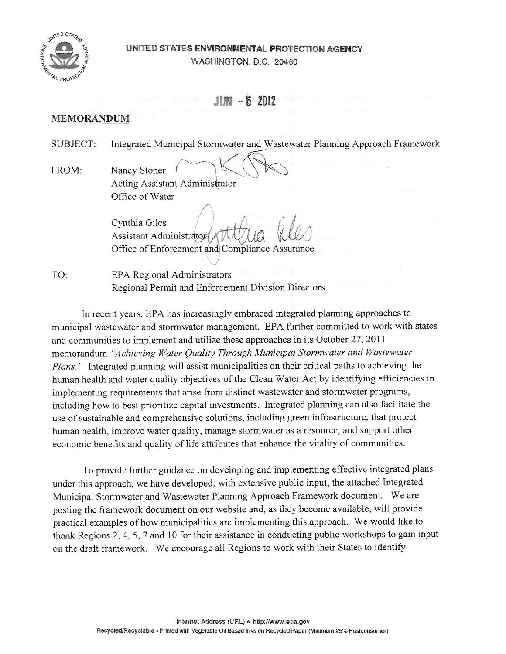

#### UNITED STATES ENVIRONMENTAL PROTECTION AGENCY

WASHINGTON, D.C. 20460

2012 JI JN

#### MEMORANDUM

- SUBJECT: Integrated Municipal Stormwater and Wastewater Planning Approach Framework
- Nancy Stoner FROM: Acting Assistant Administrator Office of Water

Cynthia Giles Assistant Administrator Office of Enforcement and Compliance Assurance

TO: **EPA Regional Administrators** Regional Permit and Enforcement Division Directors

In recent years, EPA has increasingly embraced integrated planning approaches to municipal wastewater and stormwater management. EPA further committed to work with states and communities to implement and utilize these approaches in its October 27, 2011 memorandum "Achieving Water Quality Through Municipal Stormwater and Wastewater Plans." Integrated planning will assist municipalities on their critical paths to achieving the human health and water quality objectives of the Clean Water Act by identifying efficiencies in implementing requirements that arise from distinct wastewater and stormwater programs, including how to best prioritize capital investments. Integrated planning can also facilitate the use of sustainable and comprehensive solutions, including green infrastructure, that protect human health, improve water quality, manage stormwater as a resource, and support other economic benefits and quality of life attributes that enhance the vitality of communities.

To provide further guidance on developing and implementing effective integrated plans under this approach, we have developed, with extensive public input, the attached Integrated Municipal Stormwater and Wastewater Planning Approach Framework document. We are posting the framework document on our website and, as they become available, will provide practical examples of how municipalities are implementing this approach. We would like to thank Regions 2, 4, 5, 7 and 10 for their assistance in conducting public workshops to gain input on the draft framework. We encourage all Regions to work with their States to identify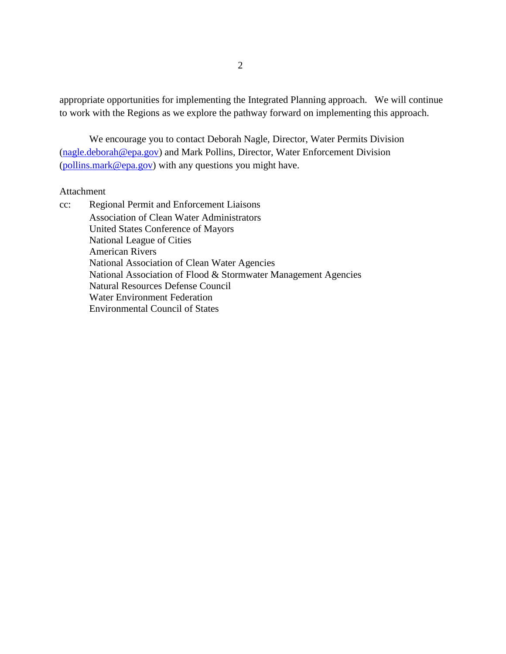appropriate opportunities for implementing the Integrated Planning approach. We will continue to work with the Regions as we explore the pathway forward on implementing this approach.

We encourage you to contact Deborah Nagle, Director, Water Permits Division [\(nagle.deborah@epa.gov\)](mailto:nagle.deborah@epa.gov) and Mark Pollins, Director, Water Enforcement Division [\(pollins.mark@epa.gov\)](mailto:pollins.mark@epa.gov) with any questions you might have.

#### Attachment

cc: Regional Permit and Enforcement Liaisons Association of Clean Water Administrators United States Conference of Mayors National League of Cities American Rivers National Association of Clean Water Agencies National Association of Flood & Stormwater Management Agencies Natural Resources Defense Council Water Environment Federation Environmental Council of States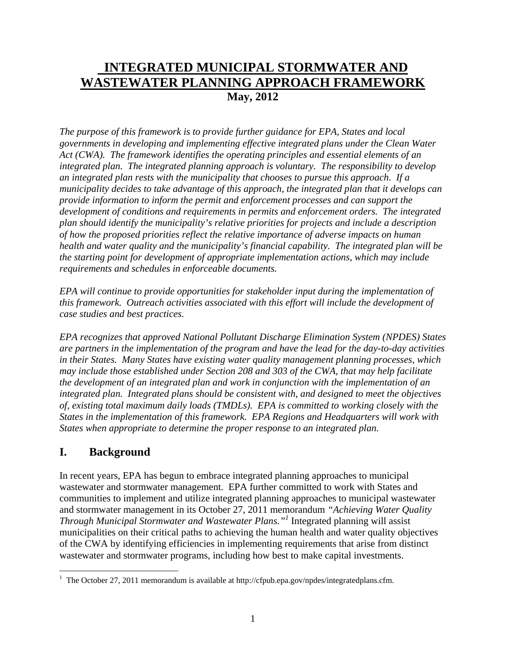# **INTEGRATED MUNICIPAL STORMWATER AND WASTEWATER PLANNING APPROACH FRAMEWORK May, 2012**

*The purpose of this framework is to provide further guidance for EPA, States and local governments in developing and implementing effective integrated plans under the Clean Water Act (CWA). The framework identifies the operating principles and essential elements of an integrated plan. The integrated planning approach is voluntary. The responsibility to develop an integrated plan rests with the municipality that chooses to pursue this approach. If a municipality decides to take advantage of this approach, the integrated plan that it develops can provide information to inform the permit and enforcement processes and can support the development of conditions and requirements in permits and enforcement orders. The integrated plan should identify the municipality's relative priorities for projects and include a description of how the proposed priorities reflect the relative importance of adverse impacts on human health and water quality and the municipality's financial capability. The integrated plan will be the starting point for development of appropriate implementation actions, which may include requirements and schedules in enforceable documents.* 

*EPA will continue to provide opportunities for stakeholder input during the implementation of this framework. Outreach activities associated with this effort will include the development of case studies and best practices.* 

*EPA recognizes that approved National Pollutant Discharge Elimination System (NPDES) States are partners in the implementation of the program and have the lead for the day-to-day activities in their States. Many States have existing water quality management planning processes, which may include those established under Section 208 and 303 of the CWA, that may help facilitate the development of an integrated plan and work in conjunction with the implementation of an integrated plan. Integrated plans should be consistent with, and designed to meet the objectives of, existing total maximum daily loads (TMDLs). EPA is committed to working closely with the States in the implementation of this framework. EPA Regions and Headquarters will work with States when appropriate to determine the proper response to an integrated plan.* 

## **I. Background**

In recent years, EPA has begun to embrace integrated planning approaches to municipal wastewater and stormwater management. EPA further committed to work with States and communities to implement and utilize integrated planning approaches to municipal wastewater and stormwater management in its October 27, 2011 memorandum *"Achieving Water Quality Through Municipal Stormwater and Wastewater Plans."<sup>1</sup> Integrated planning will assist* municipalities on their critical paths to achieving the human health and water quality objectives of the CWA by identifying efficiencies in implementing requirements that arise from distinct wastewater and stormwater programs, including how best to make capital investments.

The October 27, 2011 memorandum is available at http://cfpub.epa.gov/npdes/integratedplans.cfm.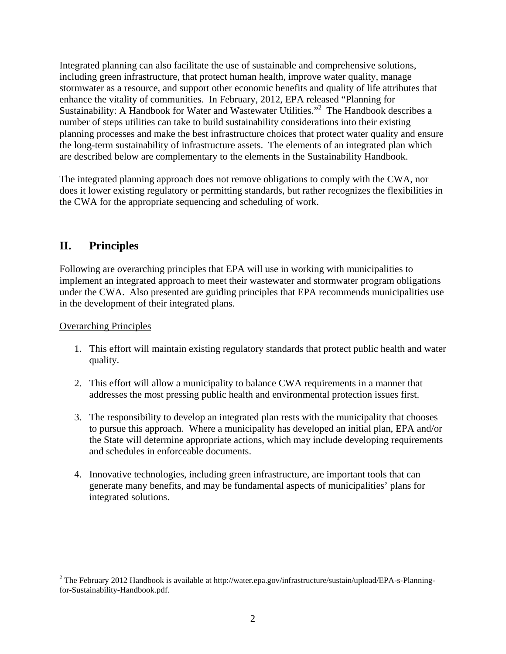Integrated planning can also facilitate the use of sustainable and comprehensive solutions, including green infrastructure, that protect human health, improve water quality, manage stormwater as a resource, and support other economic benefits and quality of life attributes that enhance the vitality of communities. In February, 2012, EPA released "Planning for Sustainability: A Handbook for Water and Wastewater Utilities."<sup>2</sup> The Handbook describes a number of steps utilities can take to build sustainability considerations into their existing planning processes and make the best infrastructure choices that protect water quality and ensure the long-term sustainability of infrastructure assets. The elements of an integrated plan which are described below are complementary to the elements in the Sustainability Handbook.

The integrated planning approach does not remove obligations to comply with the CWA, nor does it lower existing regulatory or permitting standards, but rather recognizes the flexibilities in the CWA for the appropriate sequencing and scheduling of work.

## **II. Principles**

Following are overarching principles that EPA will use in working with municipalities to implement an integrated approach to meet their wastewater and stormwater program obligations under the CWA. Also presented are guiding principles that EPA recommends municipalities use in the development of their integrated plans.

#### Overarching Principles

- 1. This effort will maintain existing regulatory standards that protect public health and water quality.
- 2. This effort will allow a municipality to balance CWA requirements in a manner that addresses the most pressing public health and environmental protection issues first.
- 3. The responsibility to develop an integrated plan rests with the municipality that chooses to pursue this approach. Where a municipality has developed an initial plan, EPA and/or the State will determine appropriate actions, which may include developing requirements and schedules in enforceable documents.
- 4. Innovative technologies, including green infrastructure, are important tools that can generate many benefits, and may be fundamental aspects of municipalities' plans for integrated solutions.

 2 The February 2012 Handbook is available at http://water.epa.gov/infrastructure/sustain/upload/EPA-s-Planningfor-Sustainability-Handbook.pdf.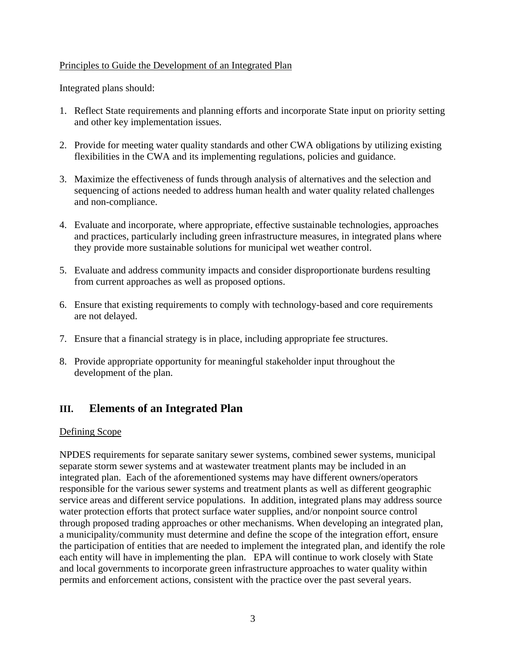### Principles to Guide the Development of an Integrated Plan

Integrated plans should:

- 1. Reflect State requirements and planning efforts and incorporate State input on priority setting and other key implementation issues.
- 2. Provide for meeting water quality standards and other CWA obligations by utilizing existing flexibilities in the CWA and its implementing regulations, policies and guidance.
- 3. Maximize the effectiveness of funds through analysis of alternatives and the selection and sequencing of actions needed to address human health and water quality related challenges and non-compliance.
- 4. Evaluate and incorporate, where appropriate, effective sustainable technologies, approaches and practices, particularly including green infrastructure measures, in integrated plans where they provide more sustainable solutions for municipal wet weather control.
- 5. Evaluate and address community impacts and consider disproportionate burdens resulting from current approaches as well as proposed options.
- 6. Ensure that existing requirements to comply with technology-based and core requirements are not delayed.
- 7. Ensure that a financial strategy is in place, including appropriate fee structures.
- 8. Provide appropriate opportunity for meaningful stakeholder input throughout the development of the plan.

## **III. Elements of an Integrated Plan**

#### Defining Scope

NPDES requirements for separate sanitary sewer systems, combined sewer systems, municipal separate storm sewer systems and at wastewater treatment plants may be included in an integrated plan. Each of the aforementioned systems may have different owners/operators responsible for the various sewer systems and treatment plants as well as different geographic service areas and different service populations. In addition, integrated plans may address source water protection efforts that protect surface water supplies, and/or nonpoint source control through proposed trading approaches or other mechanisms. When developing an integrated plan, a municipality/community must determine and define the scope of the integration effort, ensure the participation of entities that are needed to implement the integrated plan, and identify the role each entity will have in implementing the plan. EPA will continue to work closely with State and local governments to incorporate green infrastructure approaches to water quality within permits and enforcement actions, consistent with the practice over the past several years.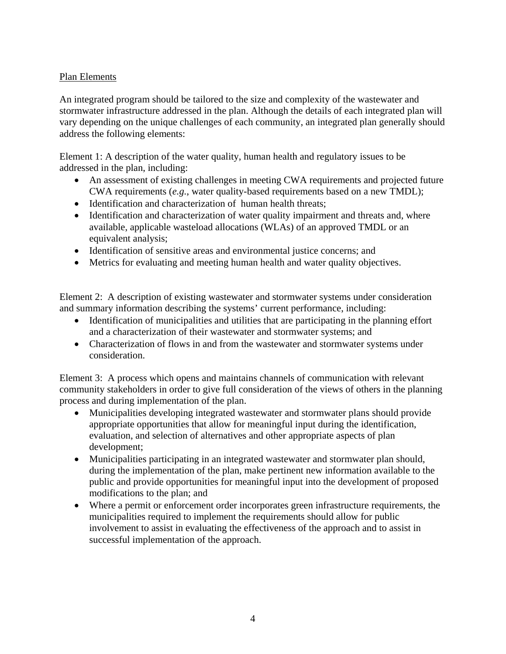### Plan Elements

An integrated program should be tailored to the size and complexity of the wastewater and stormwater infrastructure addressed in the plan. Although the details of each integrated plan will vary depending on the unique challenges of each community, an integrated plan generally should address the following elements:

Element 1: A description of the water quality, human health and regulatory issues to be addressed in the plan, including:

- An assessment of existing challenges in meeting CWA requirements and projected future CWA requirements (*e.g.*, water quality-based requirements based on a new TMDL);
- Identification and characterization of human health threats;
- Identification and characterization of water quality impairment and threats and, where available, applicable wasteload allocations (WLAs) of an approved TMDL or an equivalent analysis;
- Identification of sensitive areas and environmental justice concerns; and
- Metrics for evaluating and meeting human health and water quality objectives.

Element 2: A description of existing wastewater and stormwater systems under consideration and summary information describing the systems' current performance, including:

- Identification of municipalities and utilities that are participating in the planning effort and a characterization of their wastewater and stormwater systems; and
- Characterization of flows in and from the wastewater and stormwater systems under consideration.

Element 3: A process which opens and maintains channels of communication with relevant community stakeholders in order to give full consideration of the views of others in the planning process and during implementation of the plan.

- Municipalities developing integrated wastewater and stormwater plans should provide appropriate opportunities that allow for meaningful input during the identification, evaluation, and selection of alternatives and other appropriate aspects of plan development;
- Municipalities participating in an integrated wastewater and stormwater plan should, during the implementation of the plan, make pertinent new information available to the public and provide opportunities for meaningful input into the development of proposed modifications to the plan; and
- Where a permit or enforcement order incorporates green infrastructure requirements, the municipalities required to implement the requirements should allow for public involvement to assist in evaluating the effectiveness of the approach and to assist in successful implementation of the approach.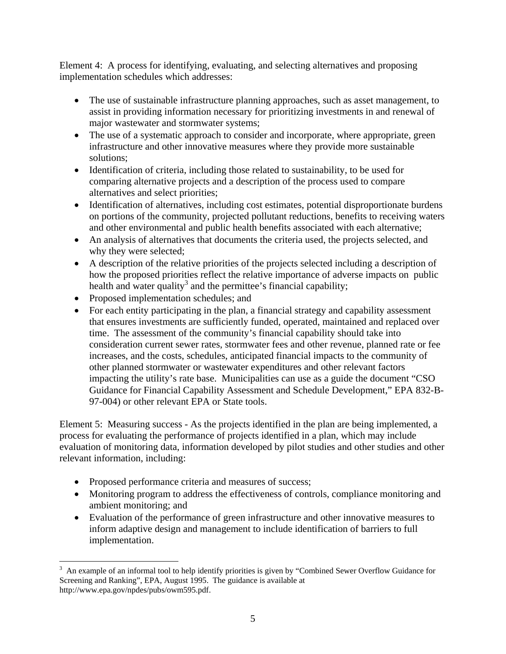Element 4: A process for identifying, evaluating, and selecting alternatives and proposing implementation schedules which addresses:

- The use of sustainable infrastructure planning approaches, such as asset management, to assist in providing information necessary for prioritizing investments in and renewal of major wastewater and stormwater systems;
- The use of a systematic approach to consider and incorporate, where appropriate, green infrastructure and other innovative measures where they provide more sustainable solutions;
- Identification of criteria, including those related to sustainability, to be used for comparing alternative projects and a description of the process used to compare alternatives and select priorities;
- Identification of alternatives, including cost estimates, potential disproportionate burdens on portions of the community, projected pollutant reductions, benefits to receiving waters and other environmental and public health benefits associated with each alternative;
- An analysis of alternatives that documents the criteria used, the projects selected, and why they were selected;
- A description of the relative priorities of the projects selected including a description of how the proposed priorities reflect the relative importance of adverse impacts on public health and water quality<sup>3</sup> and the permittee's financial capability;
- Proposed implementation schedules; and
- For each entity participating in the plan, a financial strategy and capability assessment that ensures investments are sufficiently funded, operated, maintained and replaced over time. The assessment of the community's financial capability should take into consideration current sewer rates, stormwater fees and other revenue, planned rate or fee increases, and the costs, schedules, anticipated financial impacts to the community of other planned stormwater or wastewater expenditures and other relevant factors impacting the utility's rate base. Municipalities can use as a guide the document "CSO Guidance for Financial Capability Assessment and Schedule Development," EPA 832-B-97-004) or other relevant EPA or State tools.

Element 5: Measuring success - As the projects identified in the plan are being implemented, a process for evaluating the performance of projects identified in a plan, which may include evaluation of monitoring data, information developed by pilot studies and other studies and other relevant information, including:

- Proposed performance criteria and measures of success;
- Monitoring program to address the effectiveness of controls, compliance monitoring and ambient monitoring; and
- Evaluation of the performance of green infrastructure and other innovative measures to inform adaptive design and management to include identification of barriers to full implementation.

<sup>&</sup>lt;sup>3</sup> An example of an informal tool to help identify priorities is given by "Combined Sewer Overflow Guidance for Screening and Ranking", EPA, August 1995. The guidance is available at http://www.epa.gov/npdes/pubs/owm595.pdf.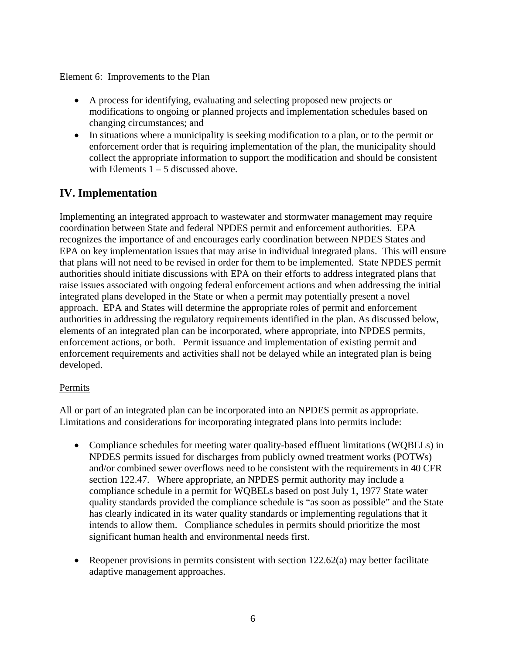Element 6: Improvements to the Plan

- A process for identifying, evaluating and selecting proposed new projects or modifications to ongoing or planned projects and implementation schedules based on changing circumstances; and
- In situations where a municipality is seeking modification to a plan, or to the permit or enforcement order that is requiring implementation of the plan, the municipality should collect the appropriate information to support the modification and should be consistent with Elements  $1 - 5$  discussed above.

## **IV. Implementation**

Implementing an integrated approach to wastewater and stormwater management may require coordination between State and federal NPDES permit and enforcement authorities. EPA recognizes the importance of and encourages early coordination between NPDES States and EPA on key implementation issues that may arise in individual integrated plans. This will ensure that plans will not need to be revised in order for them to be implemented. State NPDES permit authorities should initiate discussions with EPA on their efforts to address integrated plans that raise issues associated with ongoing federal enforcement actions and when addressing the initial integrated plans developed in the State or when a permit may potentially present a novel approach. EPA and States will determine the appropriate roles of permit and enforcement authorities in addressing the regulatory requirements identified in the plan. As discussed below, elements of an integrated plan can be incorporated, where appropriate, into NPDES permits, enforcement actions, or both. Permit issuance and implementation of existing permit and enforcement requirements and activities shall not be delayed while an integrated plan is being developed.

### Permits

All or part of an integrated plan can be incorporated into an NPDES permit as appropriate. Limitations and considerations for incorporating integrated plans into permits include:

- Compliance schedules for meeting water quality-based effluent limitations (WQBELs) in NPDES permits issued for discharges from publicly owned treatment works (POTWs) and/or combined sewer overflows need to be consistent with the requirements in 40 CFR section 122.47. Where appropriate, an NPDES permit authority may include a compliance schedule in a permit for WQBELs based on post July 1, 1977 State water quality standards provided the compliance schedule is "as soon as possible" and the State has clearly indicated in its water quality standards or implementing regulations that it intends to allow them. Compliance schedules in permits should prioritize the most significant human health and environmental needs first.
- Reopener provisions in permits consistent with section  $122.62(a)$  may better facilitate adaptive management approaches.